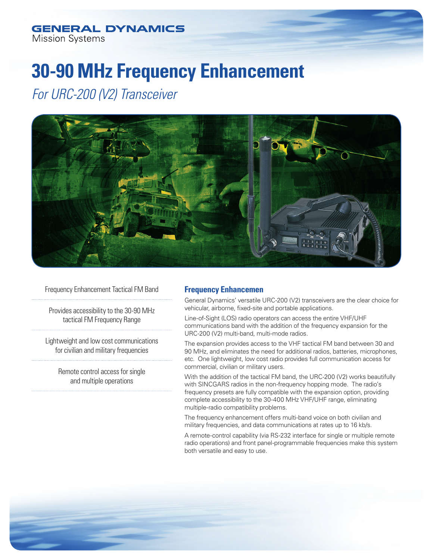# **GENERAL DYNAMICS Mission Systems**

# **30-90 MHz Frequency Enhancement**

*For URC-200 (V2) Transceiver*



Frequency Enhancement Tactical FM Band

Provides accessibility to the 30-90 MHz tactical FM Frequency Range

Lightweight and low cost communications for civilian and military frequencies

> Remote control access for single and multiple operations

# **Frequency Enhancemen**

General Dynamics' versatile URC-200 (V2) transceivers are the clear choice for vehicular, airborne, fixed-site and portable applications.

Line-of-Sight (LOS) radio operators can access the entire VHF/UHF communications band with the addition of the frequency expansion for the URC-200 (V2) multi-band, multi-mode radios.

The expansion provides access to the VHF tactical FM band between 30 and 90 MHz, and eliminates the need for additional radios, batteries, microphones, etc. One lightweight, low cost radio provides full communication access for commercial, civilian or military users.

With the addition of the tactical FM band, the URC-200 (V2) works beautifully with SINCGARS radios in the non-frequency hopping mode. The radio's frequency presets are fully compatible with the expansion option, providing complete accessibility to the 30-400 MHz VHF/UHF range, eliminating multiple-radio compatibility problems.

The frequency enhancement offers multi-band voice on both civilian and military frequencies, and data communications at rates up to 16 kb/s.

A remote-control capability (via RS-232 interface for single or multiple remote radio operations) and front panel-programmable frequencies make this system both versatile and easy to use.